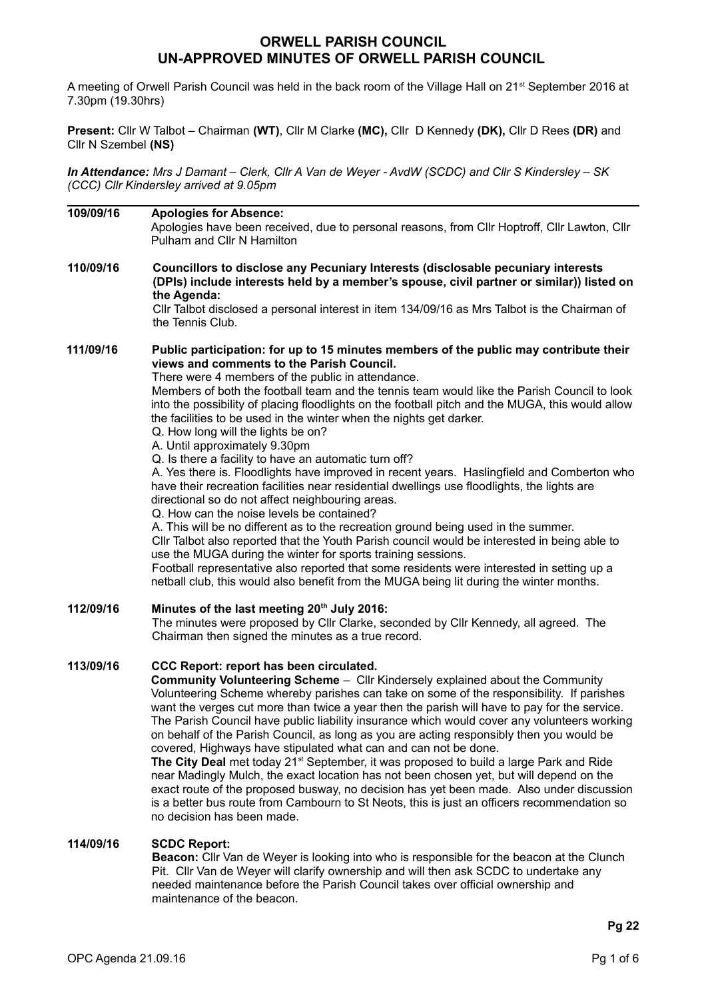# **ORWELL PARISH COUNCIL UN-APPROVED MINUTES OF ORWELL PARISH COUNCIL**

A meeting of Orwell Parish Council was held in the back room of the Village Hall on 21<sup>st</sup> September 2016 at 7.30pm (19.30hrs)

**Present:** Cllr W Talbot – Chairman **(WT)**, Cllr M Clarke **(MC),** Cllr D Kennedy **(DK),** Cllr D Rees **(DR)** and Cllr N Szembel **(NS)**

*In Attendance: Mrs J Damant – Clerk, Cllr A Van de Weyer - AvdW (SCDC) and Cllr S Kindersley – SK (CCC) Cllr Kindersley arrived at 9.05pm*

| 109/09/16 | <b>Apologies for Absence:</b><br>Apologies have been received, due to personal reasons, from Cllr Hoptroff, Cllr Lawton, Cllr<br>Pulham and Cllr N Hamilton                                                                                                                                                                                                                                                                                                                                                                                                                                                                                                                                                                                                                                                                                                                                                                                                                                                                                                                                                                                                                                                                                                                                                                                   |
|-----------|-----------------------------------------------------------------------------------------------------------------------------------------------------------------------------------------------------------------------------------------------------------------------------------------------------------------------------------------------------------------------------------------------------------------------------------------------------------------------------------------------------------------------------------------------------------------------------------------------------------------------------------------------------------------------------------------------------------------------------------------------------------------------------------------------------------------------------------------------------------------------------------------------------------------------------------------------------------------------------------------------------------------------------------------------------------------------------------------------------------------------------------------------------------------------------------------------------------------------------------------------------------------------------------------------------------------------------------------------|
| 110/09/16 | Councillors to disclose any Pecuniary Interests (disclosable pecuniary interests<br>(DPIs) include interests held by a member's spouse, civil partner or similar)) listed on<br>the Agenda:<br>CIIr Talbot disclosed a personal interest in item 134/09/16 as Mrs Talbot is the Chairman of<br>the Tennis Club.                                                                                                                                                                                                                                                                                                                                                                                                                                                                                                                                                                                                                                                                                                                                                                                                                                                                                                                                                                                                                               |
| 111/09/16 | Public participation: for up to 15 minutes members of the public may contribute their<br>views and comments to the Parish Council.<br>There were 4 members of the public in attendance.<br>Members of both the football team and the tennis team would like the Parish Council to look<br>into the possibility of placing floodlights on the football pitch and the MUGA, this would allow<br>the facilities to be used in the winter when the nights get darker.<br>Q. How long will the lights be on?<br>A. Until approximately 9.30pm<br>Q. Is there a facility to have an automatic turn off?<br>A. Yes there is. Floodlights have improved in recent years. Haslingfield and Comberton who<br>have their recreation facilities near residential dwellings use floodlights, the lights are<br>directional so do not affect neighbouring areas.<br>Q. How can the noise levels be contained?<br>A. This will be no different as to the recreation ground being used in the summer.<br>CIIr Talbot also reported that the Youth Parish council would be interested in being able to<br>use the MUGA during the winter for sports training sessions.<br>Football representative also reported that some residents were interested in setting up a<br>netball club, this would also benefit from the MUGA being lit during the winter months. |
| 112/09/16 | Minutes of the last meeting 20 <sup>th</sup> July 2016:<br>The minutes were proposed by Cllr Clarke, seconded by Cllr Kennedy, all agreed. The<br>Chairman then signed the minutes as a true record.                                                                                                                                                                                                                                                                                                                                                                                                                                                                                                                                                                                                                                                                                                                                                                                                                                                                                                                                                                                                                                                                                                                                          |
| 113/09/16 | CCC Report: report has been circulated.<br>Community Volunteering Scheme - Cllr Kindersely explained about the Community<br>Volunteering Scheme whereby parishes can take on some of the responsibility. If parishes<br>want the verges cut more than twice a year then the parish will have to pay for the service.<br>The Parish Council have public liability insurance which would cover any volunteers working<br>on behalf of the Parish Council, as long as you are acting responsibly then you would be<br>covered, Highways have stipulated what can and can not be done.<br>The City Deal met today 21 <sup>st</sup> September, it was proposed to build a large Park and Ride<br>near Madingly Mulch, the exact location has not been chosen yet, but will depend on the<br>exact route of the proposed busway, no decision has yet been made. Also under discussion<br>is a better bus route from Cambourn to St Neots, this is just an officers recommendation so<br>no decision has been made.                                                                                                                                                                                                                                                                                                                                  |
| 114/09/16 | <b>SCDC Report:</b><br>Beacon: Cllr Van de Weyer is looking into who is responsible for the beacon at the Clunch<br>Pit. Cllr Van de Weyer will clarify ownership and will then ask SCDC to undertake any<br>needed maintenance before the Parish Council takes over official ownership and                                                                                                                                                                                                                                                                                                                                                                                                                                                                                                                                                                                                                                                                                                                                                                                                                                                                                                                                                                                                                                                   |

maintenance of the beacon.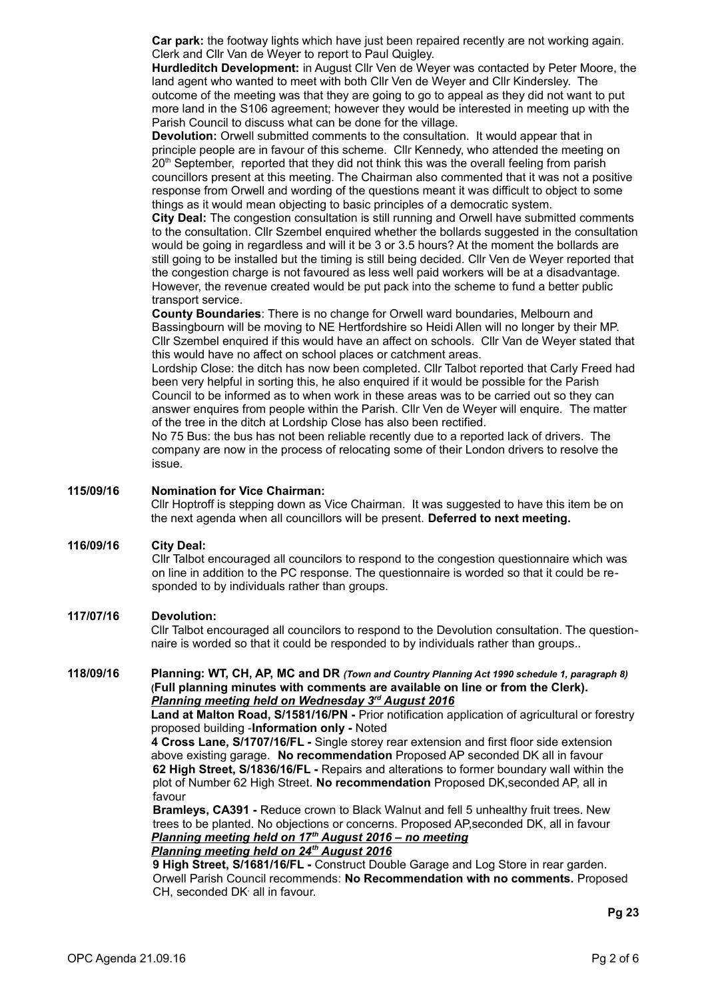**Car park:** the footway lights which have just been repaired recently are not working again. Clerk and Cllr Van de Weyer to report to Paul Quigley.

**Hurdleditch Development:** in August Cllr Ven de Weyer was contacted by Peter Moore, the land agent who wanted to meet with both Cllr Ven de Weyer and Cllr Kindersley. The outcome of the meeting was that they are going to go to appeal as they did not want to put more land in the S106 agreement; however they would be interested in meeting up with the Parish Council to discuss what can be done for the village.

**Devolution:** Orwell submitted comments to the consultation. It would appear that in principle people are in favour of this scheme. Cllr Kennedy, who attended the meeting on 20<sup>th</sup> September, reported that they did not think this was the overall feeling from parish councillors present at this meeting. The Chairman also commented that it was not a positive response from Orwell and wording of the questions meant it was difficult to object to some things as it would mean objecting to basic principles of a democratic system.

**City Deal:** The congestion consultation is still running and Orwell have submitted comments to the consultation. Cllr Szembel enquired whether the bollards suggested in the consultation would be going in regardless and will it be 3 or 3.5 hours? At the moment the bollards are still going to be installed but the timing is still being decided. Cllr Ven de Weyer reported that the congestion charge is not favoured as less well paid workers will be at a disadvantage. However, the revenue created would be put pack into the scheme to fund a better public transport service.

**County Boundaries**: There is no change for Orwell ward boundaries, Melbourn and Bassingbourn will be moving to NE Hertfordshire so Heidi Allen will no longer by their MP. Cllr Szembel enquired if this would have an affect on schools. Cllr Van de Weyer stated that this would have no affect on school places or catchment areas.

Lordship Close: the ditch has now been completed. Cllr Talbot reported that Carly Freed had been very helpful in sorting this, he also enquired if it would be possible for the Parish Council to be informed as to when work in these areas was to be carried out so they can answer enquires from people within the Parish. Cllr Ven de Weyer will enquire. The matter of the tree in the ditch at Lordship Close has also been rectified.

No 75 Bus: the bus has not been reliable recently due to a reported lack of drivers. The company are now in the process of relocating some of their London drivers to resolve the issue.

## **115/09/16 Nomination for Vice Chairman:**

Cllr Hoptroff is stepping down as Vice Chairman. It was suggested to have this item be on the next agenda when all councillors will be present. **Deferred to next meeting.**

### **116/09/16 City Deal:**

Cllr Talbot encouraged all councilors to respond to the congestion questionnaire which was on line in addition to the PC response. The questionnaire is worded so that it could be responded to by individuals rather than groups.

## **117/07/16 Devolution:**

Cllr Talbot encouraged all councilors to respond to the Devolution consultation. The questionnaire is worded so that it could be responded to by individuals rather than groups..

## **118/09/16 Planning: WT, CH, AP, MC and DR** *(Town and Country Planning Act 1990 schedule 1, paragraph 8)* **(Full planning minutes with comments are available on line or from the Clerk).**   *Planning meeting held on Wednesday 3rd August 2016*

**Land at Malton Road, S/1581/16/PN -** Prior notification application of agricultural or forestry proposed building -**Information only -** Noted

**4 Cross Lane, S/1707/16/FL -** Single storey rear extension and first floor side extension above existing garage. **No recommendation** Proposed AP seconded DK all in favour **62 High Street, S/1836/16/FL -** Repairs and alterations to former boundary wall within the plot of Number 62 High Street. **No recommendation** Proposed DK,seconded AP, all in favour

**Bramleys, CA391 -** Reduce crown to Black Walnut and fell 5 unhealthy fruit trees. New trees to be planted. No objections or concerns. Proposed AP,seconded DK, all in favour  *Planning meeting held on 17th August 2016 – no meeting Planning meeting held on 24th August 2016*

**9 High Street, S/1681/16/FL -** Construct Double Garage and Log Store in rear garden. Orwell Parish Council recommends: **No Recommendation with no comments.** Proposed CH, seconded DK<sup>,</sup> all in favour.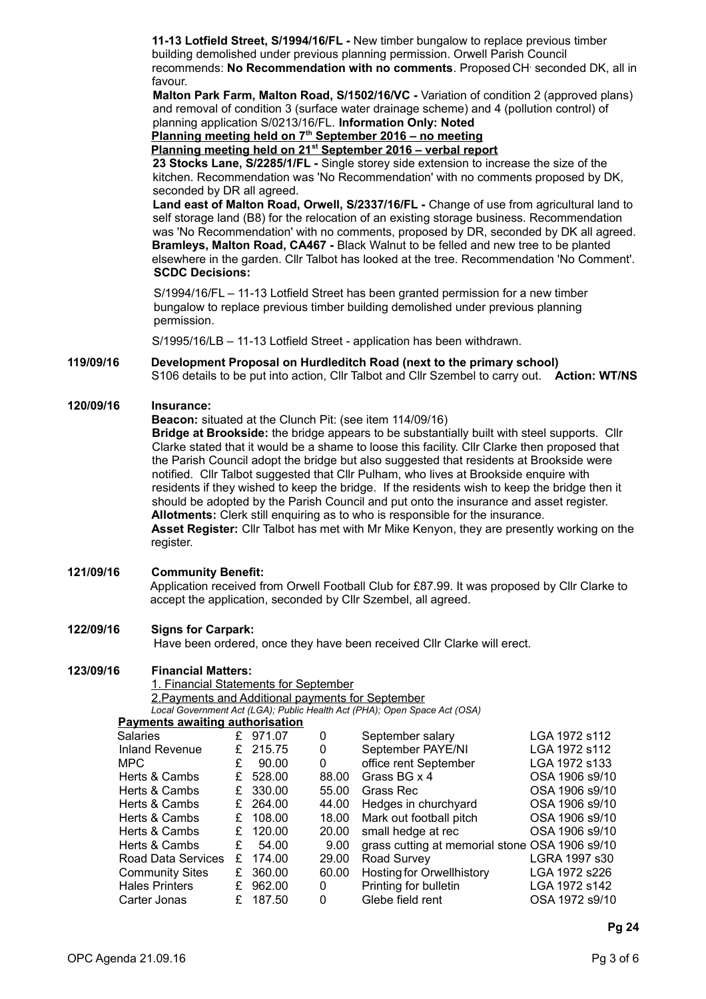**11-13 Lotfield Street, S/1994/16/FL -** New timber bungalow to replace previous timber building demolished under previous planning permission. Orwell Parish Council recommends: No Recommendation with no comments. Proposed CH seconded DK, all in favour.

**Malton Park Farm, Malton Road, S/1502/16/VC -** Variation of condition 2 (approved plans) and removal of condition 3 (surface water drainage scheme) and 4 (pollution control) of planning application S/0213/16/FL. **Information Only: Noted**

 **Planning meeting held on 7th September 2016 – no meeting**

 **Planning meeting held on 21st September 2016 – verbal report**

**23 Stocks Lane, S/2285/1/FL -** Single storey side extension to increase the size of the

kitchen. Recommendation was 'No Recommendation' with no comments proposed by DK, seconded by DR all agreed.

**Land east of Malton Road, Orwell, S/2337/16/FL -** Change of use from agricultural land to self storage land (B8) for the relocation of an existing storage business. Recommendation was 'No Recommendation' with no comments, proposed by DR, seconded by DK all agreed. **Bramleys, Malton Road, CA467 -** Black Walnut to be felled and new tree to be planted elsewhere in the garden. Cllr Talbot has looked at the tree. Recommendation 'No Comment'. **SCDC Decisions:** 

S/1994/16/FL – 11-13 Lotfield Street has been granted permission for a new timber bungalow to replace previous timber building demolished under previous planning permission.

S/1995/16/LB – 11-13 Lotfield Street - application has been withdrawn.

#### **119/09/16 Development Proposal on Hurdleditch Road (next to the primary school)** S106 details to be put into action, Cllr Talbot and Cllr Szembel to carry out. **Action: WT/NS**

## **120/09/16 Insurance:**

**Beacon:** situated at the Clunch Pit: (see item 114/09/16)

**Bridge at Brookside:** the bridge appears to be substantially built with steel supports. Cllr Clarke stated that it would be a shame to loose this facility. Cllr Clarke then proposed that the Parish Council adopt the bridge but also suggested that residents at Brookside were notified. Cllr Talbot suggested that Cllr Pulham, who lives at Brookside enquire with residents if they wished to keep the bridge. If the residents wish to keep the bridge then it should be adopted by the Parish Council and put onto the insurance and asset register. **Allotments:** Clerk still enquiring as to who is responsible for the insurance. **Asset Register:** Cllr Talbot has met with Mr Mike Kenyon, they are presently working on the register.

### **121/09/16 Community Benefit:**

Application received from Orwell Football Club for £87.99. It was proposed by Cllr Clarke to accept the application, seconded by Cllr Szembel, all agreed.

## **122/09/16 Signs for Carpark:**

Have been ordered, once they have been received Cllr Clarke will erect.

## **123/09/16 Financial Matters:**

1. Financial Statements for September 2. Payments and Additional payments for September *Local Government Act (LGA); Public Health Act (PHA); Open Space Act (OSA)*

## **Payments awaiting authorisation**

| <u>I ayınents awaltılığ ağtılonsatıoli</u> |   |        |       |                                                |                |
|--------------------------------------------|---|--------|-------|------------------------------------------------|----------------|
| Salaries                                   | £ | 971.07 | 0     | September salary                               | LGA 1972 s112  |
| <b>Inland Revenue</b>                      | £ | 215.75 | 0     | September PAYE/NI                              | LGA 1972 s112  |
| MPC.                                       | £ | 90.00  | 0     | office rent September                          | LGA 1972 s133  |
| Herts & Cambs                              | £ | 528.00 | 88.00 | Grass BG x 4                                   | OSA 1906 s9/10 |
| Herts & Cambs                              | £ | 330.00 | 55.00 | Grass Rec                                      | OSA 1906 s9/10 |
| Herts & Cambs                              | £ | 264.00 | 44.00 | Hedges in churchyard                           | OSA 1906 s9/10 |
| Herts & Cambs                              | £ | 108.00 | 18.00 | Mark out football pitch                        | OSA 1906 s9/10 |
| Herts & Cambs                              | £ | 120.00 | 20.00 | small hedge at rec                             | OSA 1906 s9/10 |
| Herts & Cambs                              | £ | 54.00  | 9.00  | grass cutting at memorial stone OSA 1906 s9/10 |                |
| Road Data Services                         | £ | 174.00 | 29.00 | Road Survey                                    | LGRA 1997 s30  |
| <b>Community Sites</b>                     | £ | 360.00 | 60.00 | <b>Hosting for Orwellhistory</b>               | LGA 1972 s226  |
| <b>Hales Printers</b>                      | £ | 962.00 | 0     | Printing for bulletin                          | LGA 1972 s142  |
| Carter Jonas                               | £ | 187.50 | 0     | Glebe field rent                               | OSA 1972 s9/10 |
|                                            |   |        |       |                                                |                |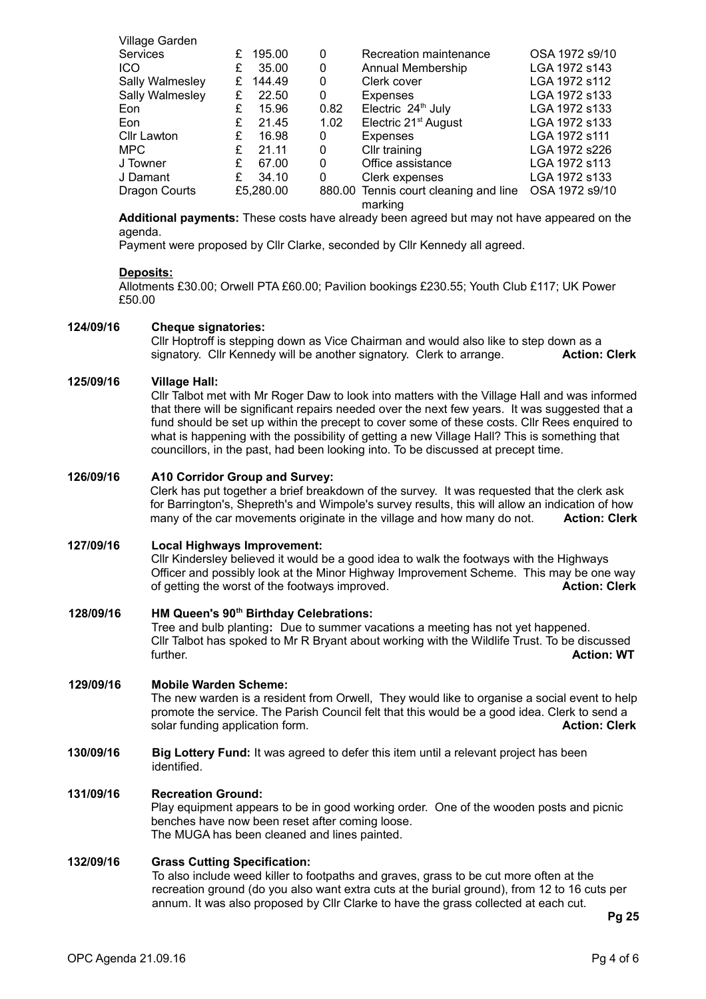| Village Garden  |   |           |      |                                                  |                |
|-----------------|---|-----------|------|--------------------------------------------------|----------------|
| <b>Services</b> | £ | 195.00    | 0    | Recreation maintenance                           | OSA 1972 s9/10 |
| <b>ICO</b>      | £ | 35.00     | 0    | Annual Membership                                | LGA 1972 s143  |
| Sally Walmesley | £ | 144.49    | 0    | Clerk cover                                      | LGA 1972 s112  |
| Sally Walmesley | £ | 22.50     | 0    | <b>Expenses</b>                                  | LGA 1972 s133  |
| Eon             | £ | 15.96     | 0.82 | Electric 24 <sup>th</sup> July                   | LGA 1972 s133  |
| Eon             | £ | 21.45     | 1.02 | Electric 21 <sup>st</sup> August                 | LGA 1972 s133  |
| Cllr Lawton     | £ | 16.98     | 0    | <b>Expenses</b>                                  | LGA 1972 s111  |
| <b>MPC</b>      | £ | 21.11     | 0    | Cllr training                                    | LGA 1972 s226  |
| J Towner        | £ | 67.00     | 0    | Office assistance                                | LGA 1972 s113  |
| J Damant        | £ | 34.10     | 0    | Clerk expenses                                   | LGA 1972 s133  |
| Dragon Courts   |   | £5,280.00 |      | 880.00 Tennis court cleaning and line<br>marking | OSA 1972 s9/10 |

**Additional payments:** These costs have already been agreed but may not have appeared on the agenda.

Payment were proposed by Cllr Clarke, seconded by Cllr Kennedy all agreed.

## **Deposits:**

Allotments £30.00; Orwell PTA £60.00; Pavilion bookings £230.55; Youth Club £117; UK Power £50.00

### **124/09/16 Cheque signatories:**

Cllr Hoptroff is stepping down as Vice Chairman and would also like to step down as a signatory. Cllr Kennedy will be another signatory. Clerk to arrange. **Action: Clerk**

## **125/09/16 Village Hall:**

Cllr Talbot met with Mr Roger Daw to look into matters with the Village Hall and was informed that there will be significant repairs needed over the next few years. It was suggested that a fund should be set up within the precept to cover some of these costs. Cllr Rees enquired to what is happening with the possibility of getting a new Village Hall? This is something that councillors, in the past, had been looking into. To be discussed at precept time.

## **126/09/16 A10 Corridor Group and Survey:**

Clerk has put together a brief breakdown of the survey. It was requested that the clerk ask for Barrington's, Shepreth's and Wimpole's survey results, this will allow an indication of how many of the car movements originate in the village and how many do not. **Action: Clerk**

### **127/09/16 Local Highways Improvement:**

Cllr Kindersley believed it would be a good idea to walk the footways with the Highways Officer and possibly look at the Minor Highway Improvement Scheme. This may be one way of getting the worst of the footways improved. **Action: Clerk**

## **128/09/16 HM Queen's 90th Birthday Celebrations:**

Tree and bulb planting**:** Due to summer vacations a meeting has not yet happened. Cllr Talbot has spoked to Mr R Bryant about working with the Wildlife Trust. To be discussed further. **Action: WT**

## **129/09/16 Mobile Warden Scheme:**

The new warden is a resident from Orwell, They would like to organise a social event to help promote the service. The Parish Council felt that this would be a good idea. Clerk to send a solar funding application form. **Action: Clerk**

**130/09/16 Big Lottery Fund:** It was agreed to defer this item until a relevant project has been identified.

### **131/09/16 Recreation Ground:**

Play equipment appears to be in good working order. One of the wooden posts and picnic benches have now been reset after coming loose. The MUGA has been cleaned and lines painted.

## **132/09/16 Grass Cutting Specification:**

To also include weed killer to footpaths and graves, grass to be cut more often at the recreation ground (do you also want extra cuts at the burial ground), from 12 to 16 cuts per annum. It was also proposed by Cllr Clarke to have the grass collected at each cut.

**Pg 25**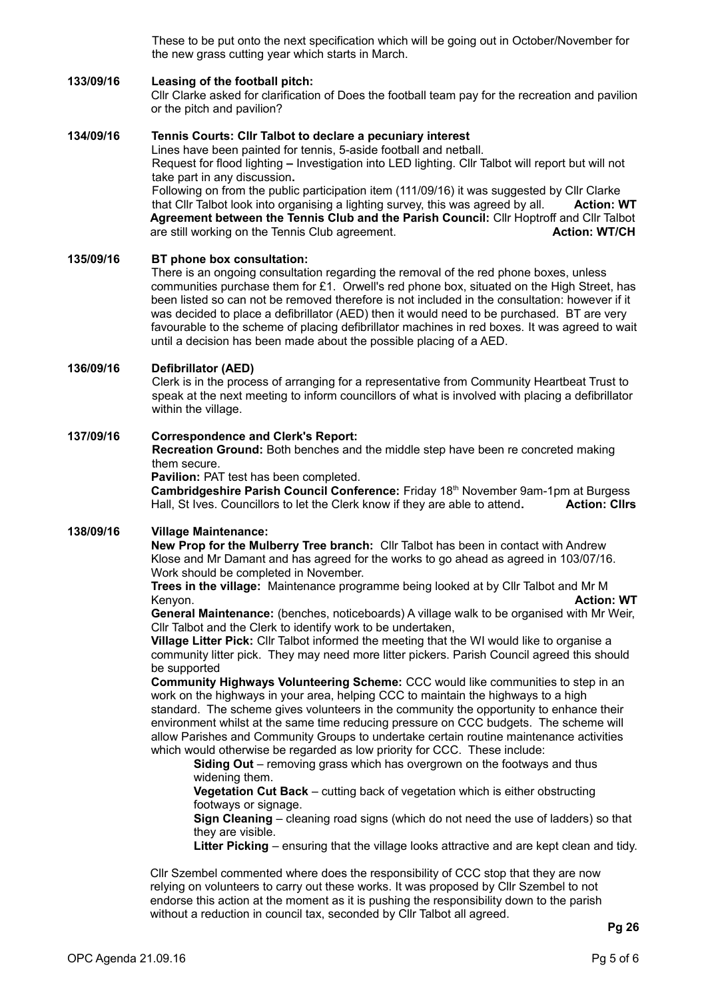These to be put onto the next specification which will be going out in October/November for the new grass cutting year which starts in March.

## **133/09/16 Leasing of the football pitch:**

Cllr Clarke asked for clarification of Does the football team pay for the recreation and pavilion or the pitch and pavilion?

## **134/09/16 Tennis Courts: Cllr Talbot to declare a pecuniary interest**

Lines have been painted for tennis, 5-aside football and netball. Request for flood lighting **–** Investigation into LED lighting. Cllr Talbot will report but will not take part in any discussion**.** Following on from the public participation item (111/09/16) it was suggested by Cllr Clarke

that Cllr Talbot look into organising a lighting survey, this was agreed by all. **Action: WT Agreement between the Tennis Club and the Parish Council:** Cllr Hoptroff and Cllr Talbot are still working on the Tennis Club agreement.

## **135/09/16 BT phone box consultation:**

There is an ongoing consultation regarding the removal of the red phone boxes, unless communities purchase them for £1. Orwell's red phone box, situated on the High Street, has been listed so can not be removed therefore is not included in the consultation: however if it was decided to place a defibrillator (AED) then it would need to be purchased. BT are very favourable to the scheme of placing defibrillator machines in red boxes. It was agreed to wait until a decision has been made about the possible placing of a AED.

## **136/09/16 Defibrillator (AED)**

Clerk is in the process of arranging for a representative from Community Heartbeat Trust to speak at the next meeting to inform councillors of what is involved with placing a defibrillator within the village.

## **137/09/16 Correspondence and Clerk's Report:**

**Recreation Ground:** Both benches and the middle step have been re concreted making them secure.

**Pavilion:** PAT test has been completed.

**Cambridgeshire Parish Council Conference:** Friday 18th November 9am-1pm at Burgess Hall, St Ives. Councillors to let the Clerk know if they are able to attend. **Action: Clirs** 

### **138/09/16 Village Maintenance:**

**New Prop for the Mulberry Tree branch:** Cllr Talbot has been in contact with Andrew Klose and Mr Damant and has agreed for the works to go ahead as agreed in 103/07/16. Work should be completed in November.

**Trees in the village:** Maintenance programme being looked at by Cllr Talbot and Mr M Kenyon. **Action: WT**

**General Maintenance:** (benches, noticeboards) A village walk to be organised with Mr Weir, Cllr Talbot and the Clerk to identify work to be undertaken,

**Village Litter Pick:** Cllr Talbot informed the meeting that the WI would like to organise a community litter pick. They may need more litter pickers. Parish Council agreed this should be supported

**Community Highways Volunteering Scheme:** CCC would like communities to step in an work on the highways in your area, helping CCC to maintain the highways to a high standard. The scheme gives volunteers in the community the opportunity to enhance their environment whilst at the same time reducing pressure on CCC budgets. The scheme will allow Parishes and Community Groups to undertake certain routine maintenance activities which would otherwise be regarded as low priority for CCC. These include:

**Siding Out** – removing grass which has overgrown on the footways and thus widening them.

**Vegetation Cut Back** – cutting back of vegetation which is either obstructing footways or signage.

**Sign Cleaning** – cleaning road signs (which do not need the use of ladders) so that they are visible.

**Litter Picking** – ensuring that the village looks attractive and are kept clean and tidy.

Cllr Szembel commented where does the responsibility of CCC stop that they are now relying on volunteers to carry out these works. It was proposed by Cllr Szembel to not endorse this action at the moment as it is pushing the responsibility down to the parish without a reduction in council tax, seconded by Cllr Talbot all agreed.